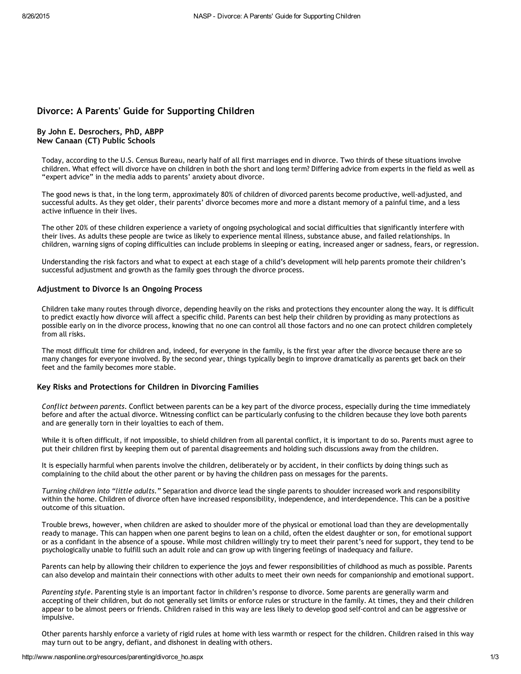# Divorce: A Parents' Guide for Supporting Children

## By John E. Desrochers, PhD, ABPP New Canaan (CT) Public Schools

Today, according to the U.S. Census Bureau, nearly half of all first marriages end in divorce. Two thirds of these situations involve children. What effect will divorce have on children in both the short and long term? Differing advice from experts in the field as well as "expert advice" in the media adds to parents' anxiety about divorce.

The good news is that, in the long term, approximately 80% of children of divorced parents become productive, well‐adjusted, and successful adults. As they get older, their parents' divorce becomes more and more a distant memory of a painful time, and a less active influence in their lives.

The other 20% of these children experience a variety of ongoing psychological and social difficulties that significantly interfere with their lives. As adults these people are twice as likely to experience mental illness, substance abuse, and failed relationships. In children, warning signs of coping difficulties can include problems in sleeping or eating, increased anger or sadness, fears, or regression.

Understanding the risk factors and what to expect at each stage of a child's development will help parents promote their children's successful adjustment and growth as the family goes through the divorce process.

### Adjustment to Divorce Is an Ongoing Process

Children take many routes through divorce, depending heavily on the risks and protections they encounter along the way. It is difficult to predict exactly how divorce will affect a specific child. Parents can best help their children by providing as many protections as possible early on in the divorce process, knowing that no one can control all those factors and no one can protect children completely from all risks.

The most difficult time for children and, indeed, for everyone in the family, is the first year after the divorce because there are so many changes for everyone involved. By the second year, things typically begin to improve dramatically as parents get back on their feet and the family becomes more stable.

## Key Risks and Protections for Children in Divorcing Families

*Conflict between parents*. Conflict between parents can be a key part of the divorce process, especially during the time immediately before and after the actual divorce. Witnessing conflict can be particularly confusing to the children because they love both parents and are generally torn in their loyalties to each of them.

While it is often difficult, if not impossible, to shield children from all parental conflict, it is important to do so. Parents must agree to put their children first by keeping them out of parental disagreements and holding such discussions away from the children.

It is especially harmful when parents involve the children, deliberately or by accident, in their conflicts by doing things such as complaining to the child about the other parent or by having the children pass on messages for the parents.

*Turning children into "little adults."* Separation and divorce lead the single parents to shoulder increased work and responsibility within the home. Children of divorce often have increased responsibility, independence, and interdependence. This can be a positive outcome of this situation.

Trouble brews, however, when children are asked to shoulder more of the physical or emotional load than they are developmentally ready to manage. This can happen when one parent begins to lean on a child, often the eldest daughter or son, for emotional support or as a confidant in the absence of a spouse. While most children willingly try to meet their parent's need for support, they tend to be psychologically unable to fulfill such an adult role and can grow up with lingering feelings of inadequacy and failure.

Parents can help by allowing their children to experience the joys and fewer responsibilities of childhood as much as possible. Parents can also develop and maintain their connections with other adults to meet their own needs for companionship and emotional support.

*Parenting style*. Parenting style is an important factor in children's response to divorce. Some parents are generally warm and accepting of their children, but do not generally set limits or enforce rules or structure in the family. At times, they and their children appear to be almost peers or friends. Children raised in this way are less likely to develop good self‐control and can be aggressive or impulsive.

Other parents harshly enforce a variety of rigid rules at home with less warmth or respect for the children. Children raised in this way may turn out to be angry, defiant, and dishonest in dealing with others.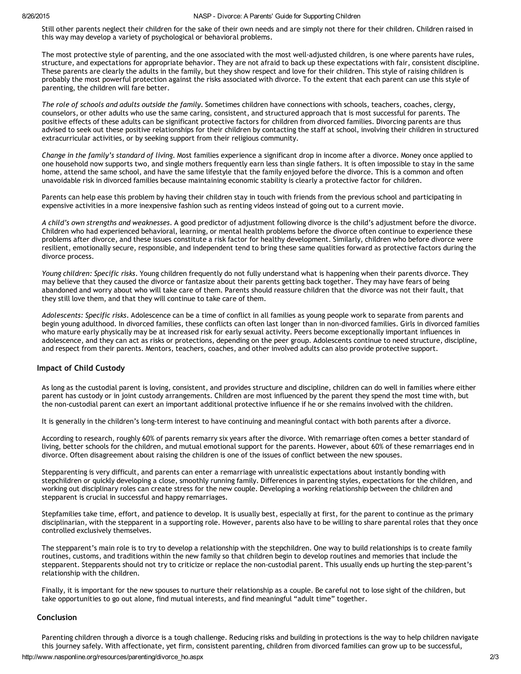#### 8/26/2015 NASP Divorce: A Parents' Guide for Supporting Children

Still other parents neglect their children for the sake of their own needs and are simply not there for their children. Children raised in this way may develop a variety of psychological or behavioral problems.

The most protective style of parenting, and the one associated with the most well‐adjusted children, is one where parents have rules, structure, and expectations for appropriate behavior. They are not afraid to back up these expectations with fair, consistent discipline. These parents are clearly the adults in the family, but they show respect and love for their children. This style of raising children is probably the most powerful protection against the risks associated with divorce. To the extent that each parent can use this style of parenting, the children will fare better.

*The role of schools and adults outside the family*. Sometimes children have connections with schools, teachers, coaches, clergy, counselors, or other adults who use the same caring, consistent, and structured approach that is most successful for parents. The positive effects of these adults can be significant protective factors for children from divorced families. Divorcing parents are thus advised to seek out these positive relationships for their children by contacting the staff at school, involving their children in structured extracurricular activities, or by seeking support from their religious community.

*Change in the family's standard of living*. Most families experience a significant drop in income after a divorce. Money once applied to one household now supports two, and single mothers frequently earn less than single fathers. It is often impossible to stay in the same home, attend the same school, and have the same lifestyle that the family enjoyed before the divorce. This is a common and often unavoidable risk in divorced families because maintaining economic stability is clearly a protective factor for children.

Parents can help ease this problem by having their children stay in touch with friends from the previous school and participating in expensive activities in a more inexpensive fashion such as renting videos instead of going out to a current movie.

*A child's own strengths and weaknesses*. A good predictor of adjustment following divorce is the child's adjustment before the divorce. Children who had experienced behavioral, learning, or mental health problems before the divorce often continue to experience these problems after divorce, and these issues constitute a risk factor for healthy development. Similarly, children who before divorce were resilient, emotionally secure, responsible, and independent tend to bring these same qualities forward as protective factors during the divorce process.

*Young children: Specific risks*. Young children frequently do not fully understand what is happening when their parents divorce. They may believe that they caused the divorce or fantasize about their parents getting back together. They may have fears of being abandoned and worry about who will take care of them. Parents should reassure children that the divorce was not their fault, that they still love them, and that they will continue to take care of them.

*Adolescents: Specific risks*. Adolescence can be a time of conflict in all families as young people work to separate from parents and begin young adulthood. In divorced families, these conflicts can often last longer than in non-divorced families. Girls in divorced families who mature early physically may be at increased risk for early sexual activity. Peers become exceptionally important influences in adolescence, and they can act as risks or protections, depending on the peer group. Adolescents continue to need structure, discipline, and respect from their parents. Mentors, teachers, coaches, and other involved adults can also provide protective support.

### Impact of Child Custody

As long as the custodial parent is loving, consistent, and provides structure and discipline, children can do well in families where either parent has custody or in joint custody arrangements. Children are most influenced by the parent they spend the most time with, but the non-custodial parent can exert an important additional protective influence if he or she remains involved with the children.

It is generally in the children's long-term interest to have continuing and meaningful contact with both parents after a divorce.

According to research, roughly 60% of parents remarry six years after the divorce. With remarriage often comes a better standard of living, better schools for the children, and mutual emotional support for the parents. However, about 60% of these remarriages end in divorce. Often disagreement about raising the children is one of the issues of conflict between the new spouses.

Stepparenting is very difficult, and parents can enter a remarriage with unrealistic expectations about instantly bonding with stepchildren or quickly developing a close, smoothly running family. Differences in parenting styles, expectations for the children, and working out disciplinary roles can create stress for the new couple. Developing a working relationship between the children and stepparent is crucial in successful and happy remarriages.

Stepfamilies take time, effort, and patience to develop. It is usually best, especially at first, for the parent to continue as the primary disciplinarian, with the stepparent in a supporting role. However, parents also have to be willing to share parental roles that they once controlled exclusively themselves.

The stepparent's main role is to try to develop a relationship with the stepchildren. One way to build relationships is to create family routines, customs, and traditions within the new family so that children begin to develop routines and memories that include the stepparent. Stepparents should not try to criticize or replace the non-custodial parent. This usually ends up hurting the step-parent's relationship with the children.

Finally, it is important for the new spouses to nurture their relationship as a couple. Be careful not to lose sight of the children, but take opportunities to go out alone, find mutual interests, and find meaningful "adult time" together.

### Conclusion

Parenting children through a divorce is a tough challenge. Reducing risks and building in protections is the way to help children navigate this journey safely. With affectionate, yet firm, consistent parenting, children from divorced families can grow up to be successful,